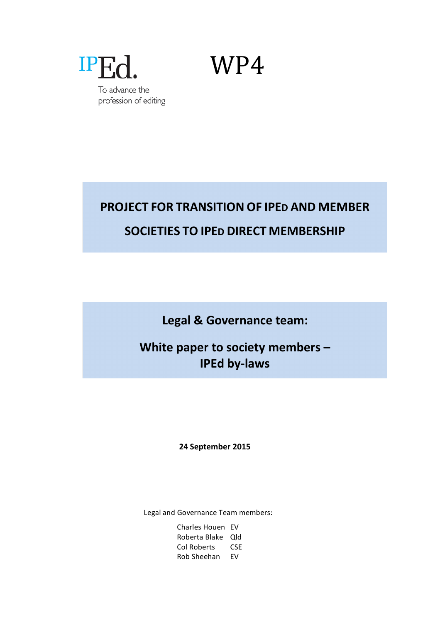

# **PROJECT FOR TRANSITION OF IPED AND MEMBER SOCIETIES TO IPED DIRECT MEMBERSHIP**

Legal & Governance team:

**White paper to society members -IPEd by-laws** 

## **24 September 2015**

Legal and Governance Team members:

Charles Houen EV Roberta Blake Qld Col Roberts CSE Rob Sheehan EV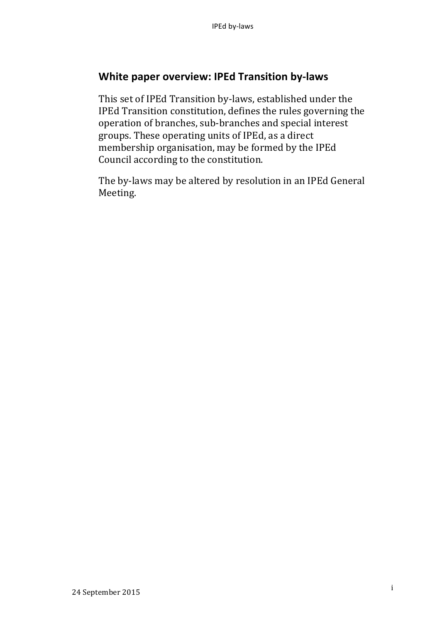# **White paper overview: IPEd Transition by-laws**

This set of IPEd Transition by-laws, established under the IPEd Transition constitution, defines the rules governing the operation of branches, sub-branches and special interest groups. These operating units of IPEd, as a direct membership organisation, may be formed by the IPEd Council according to the constitution.

The by-laws may be altered by resolution in an IPEd General Meeting.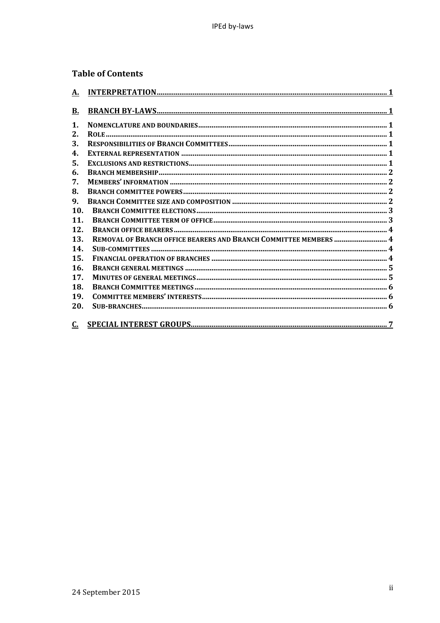## **Table of Contents**

| <u>A.</u>                  |  |
|----------------------------|--|
| <u>B.</u>                  |  |
| $\mathbf 1$ .              |  |
| 2.                         |  |
| 3.                         |  |
| 4.                         |  |
| 5.                         |  |
| 6.                         |  |
| 7.                         |  |
| 8.                         |  |
| 9.                         |  |
| 10.                        |  |
| 11.                        |  |
| 12.                        |  |
| 13.                        |  |
| 14.                        |  |
| 15.                        |  |
| 16.                        |  |
| 17.                        |  |
| 18.                        |  |
| 19.                        |  |
| 20.                        |  |
| $\underline{\mathbf{C}}$ . |  |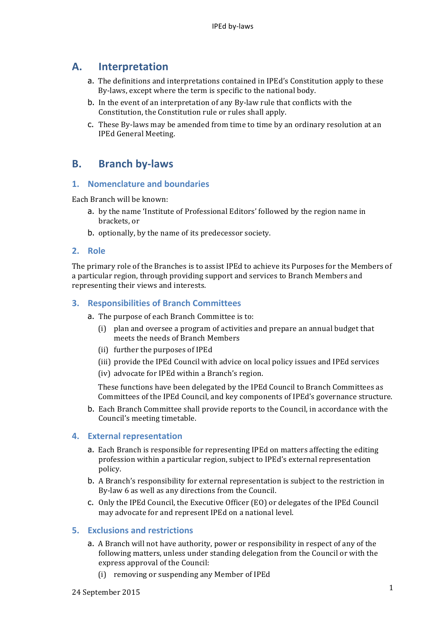## **A. Interpretation**

- a. The definitions and interpretations contained in IPEd's Constitution apply to these By-laws, except where the term is specific to the national body.
- b. In the event of an interpretation of any By-law rule that conflicts with the Constitution, the Constitution rule or rules shall apply.
- c. These By-laws may be amended from time to time by an ordinary resolution at an IPEd General Meeting.

# **B. Branch by-laws**

## **1.** Nomenclature and boundaries

Each Branch will be known:

- a. by the name 'Institute of Professional Editors' followed by the region name in brackets, or
- b. optionally, by the name of its predecessor society.

#### **2. Role**

The primary role of the Branches is to assist IPEd to achieve its Purposes for the Members of a particular region, through providing support and services to Branch Members and representing their views and interests.

#### **3. Responsibilities of Branch Committees**

- a. The purpose of each Branch Committee is to:
	- (i) plan and oversee a program of activities and prepare an annual budget that meets the needs of Branch Members
	- (ii) further the purposes of IPEd
	- (iii) provide the IPEd Council with advice on local policy issues and IPEd services
	- (iv) advocate for IPEd within a Branch's region.

These functions have been delegated by the IPEd Council to Branch Committees as Committees of the IPEd Council, and key components of IPEd's governance structure.

b. Each Branch Committee shall provide reports to the Council, in accordance with the Council's meeting timetable.

#### **4. External representation**

- a. Each Branch is responsible for representing IPEd on matters affecting the editing profession within a particular region, subject to IPEd's external representation policy.
- b. A Branch's responsibility for external representation is subject to the restriction in By-law 6 as well as any directions from the Council.
- c. Only the IPEd Council, the Executive Officer (EO) or delegates of the IPEd Council may advocate for and represent IPEd on a national level.

#### **5. Exclusions and restrictions**

- a. A Branch will not have authority, power or responsibility in respect of any of the following matters, unless under standing delegation from the Council or with the express approval of the Council:
	- (i) removing or suspending any Member of IPEd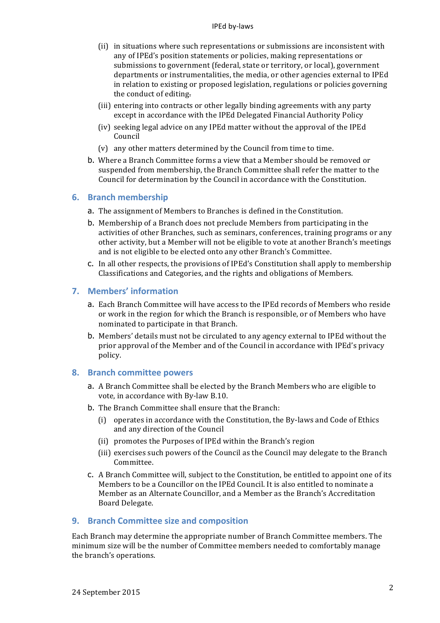#### IPEd by-laws

- (ii) in situations where such representations or submissions are inconsistent with any of IPEd's position statements or policies, making representations or submissions to government (federal, state or territory, or local), government departments or instrumentalities, the media, or other agencies external to IPEd in relation to existing or proposed legislation, regulations or policies governing the conduct of editing.
- (iii) entering into contracts or other legally binding agreements with any party except in accordance with the IPEd Delegated Financial Authority Policy
- (iv) seeking legal advice on any IPEd matter without the approval of the IPEd Council
- $(v)$  any other matters determined by the Council from time to time.
- b. Where a Branch Committee forms a view that a Member should be removed or suspended from membership, the Branch Committee shall refer the matter to the Council for determination by the Council in accordance with the Constitution.

#### **6. Branch membership**

- a. The assignment of Members to Branches is defined in the Constitution.
- **b.** Membership of a Branch does not preclude Members from participating in the activities of other Branches, such as seminars, conferences, training programs or any other activity, but a Member will not be eligible to vote at another Branch's meetings and is not eligible to be elected onto any other Branch's Committee.
- c. In all other respects, the provisions of IPEd's Constitution shall apply to membership Classifications and Categories, and the rights and obligations of Members.

## **7. Members' information**

- a. Each Branch Committee will have access to the IPEd records of Members who reside or work in the region for which the Branch is responsible, or of Members who have nominated to participate in that Branch.
- b. Members' details must not be circulated to any agency external to IPEd without the prior approval of the Member and of the Council in accordance with IPEd's privacy policy.

#### **8. Branch committee powers**

- a. A Branch Committee shall be elected by the Branch Members who are eligible to vote, in accordance with By-law B.10.
- b. The Branch Committee shall ensure that the Branch:
	- (i) operates in accordance with the Constitution, the By-laws and Code of Ethics and any direction of the Council
	- (ii) promotes the Purposes of IPEd within the Branch's region
	- (iii) exercises such powers of the Council as the Council may delegate to the Branch Committee.
- **c.** A Branch Committee will, subject to the Constitution, be entitled to appoint one of its Members to be a Councillor on the IPEd Council. It is also entitled to nominate a Member as an Alternate Councillor, and a Member as the Branch's Accreditation Board Delegate.

#### **9.** Branch Committee size and composition

Each Branch may determine the appropriate number of Branch Committee members. The minimum size will be the number of Committee members needed to comfortably manage the branch's operations.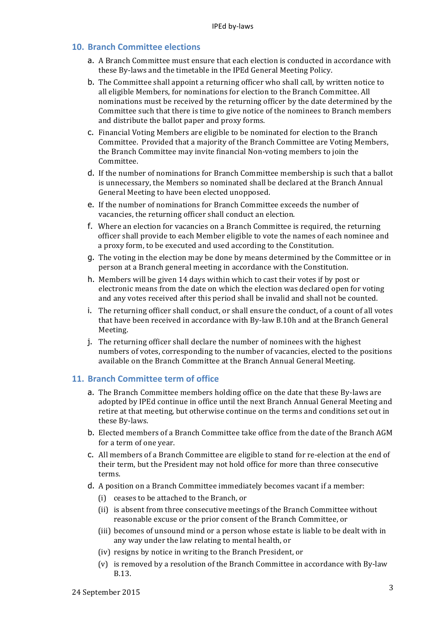#### **10. Branch Committee elections**

- a. A Branch Committee must ensure that each election is conducted in accordance with these By-laws and the timetable in the IPEd General Meeting Policy.
- b. The Committee shall appoint a returning officer who shall call, by written notice to all eligible Members, for nominations for election to the Branch Committee. All nominations must be received by the returning officer by the date determined by the Committee such that there is time to give notice of the nominees to Branch members and distribute the ballot paper and proxy forms.
- c. Financial Voting Members are eligible to be nominated for election to the Branch Committee. Provided that a majority of the Branch Committee are Voting Members, the Branch Committee may invite financial Non-voting members to join the Committee.
- d. If the number of nominations for Branch Committee membership is such that a ballot is unnecessary, the Members so nominated shall be declared at the Branch Annual General Meeting to have been elected unopposed.
- e. If the number of nominations for Branch Committee exceeds the number of vacancies, the returning officer shall conduct an election.
- f. Where an election for vacancies on a Branch Committee is required, the returning officer shall provide to each Member eligible to vote the names of each nominee and a proxy form, to be executed and used according to the Constitution.
- **g.** The voting in the election may be done by means determined by the Committee or in person at a Branch general meeting in accordance with the Constitution.
- h. Members will be given 14 days within which to cast their votes if by post or electronic means from the date on which the election was declared open for voting and any votes received after this period shall be invalid and shall not be counted.
- i. The returning officer shall conduct, or shall ensure the conduct, of a count of all votes that have been received in accordance with By-law B.10h and at the Branch General Meeting.
- j. The returning officer shall declare the number of nominees with the highest numbers of votes, corresponding to the number of vacancies, elected to the positions available on the Branch Committee at the Branch Annual General Meeting.

#### **11. Branch Committee term of office**

- a. The Branch Committee members holding office on the date that these By-laws are adopted by IPEd continue in office until the next Branch Annual General Meeting and retire at that meeting, but otherwise continue on the terms and conditions set out in these By-laws.
- b. Elected members of a Branch Committee take office from the date of the Branch AGM for a term of one year.
- c. All members of a Branch Committee are eligible to stand for re-election at the end of their term, but the President may not hold office for more than three consecutive terms.
- d. A position on a Branch Committee immediately becomes vacant if a member:
	- (i) ceases to be attached to the Branch, or
	- (ii) is absent from three consecutive meetings of the Branch Committee without reasonable excuse or the prior consent of the Branch Committee, or
	- (iii) becomes of unsound mind or a person whose estate is liable to be dealt with in any way under the law relating to mental health, or
	- (iv) resigns by notice in writing to the Branch President, or
	- (v) is removed by a resolution of the Branch Committee in accordance with By-law B.13.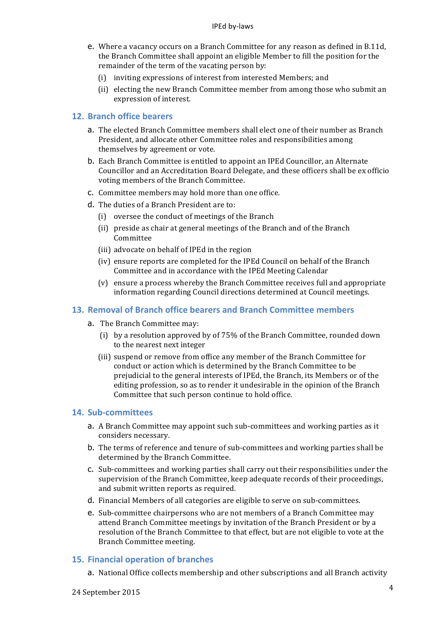- e. Where a vacancy occurs on a Branch Committee for any reason as defined in B.11d, the Branch Committee shall appoint an eligible Member to fill the position for the remainder of the term of the vacating person by:
	- (i) inviting expressions of interest from interested Members; and
	- (ii) electing the new Branch Committee member from among those who submit an expression of interest.

#### **12. Branch office bearers**

- a. The elected Branch Committee members shall elect one of their number as Branch President, and allocate other Committee roles and responsibilities among themselves by agreement or vote.
- **b.** Each Branch Committee is entitled to appoint an IPEd Councillor, an Alternate Councillor and an Accreditation Board Delegate, and these officers shall be ex officio voting members of the Branch Committee.
- c. Committee members may hold more than one office.
- d. The duties of a Branch President are to:
	- (i) oversee the conduct of meetings of the Branch
	- (ii) preside as chair at general meetings of the Branch and of the Branch Committee
	- (iii) advocate on behalf of IPEd in the region
	- (iv) ensure reports are completed for the IPEd Council on behalf of the Branch Committee and in accordance with the IPEd Meeting Calendar
	- (v) ensure a process whereby the Branch Committee receives full and appropriate information regarding Council directions determined at Council meetings.

#### **13. Removal of Branch office bearers and Branch Committee members**

- a. The Branch Committee may:
	- (i) by a resolution approved by of  $75%$  of the Branch Committee, rounded down to the nearest next integer
	- (iii) suspend or remove from office any member of the Branch Committee for conduct or action which is determined by the Branch Committee to be prejudicial to the general interests of IPEd, the Branch, its Members or of the editing profession, so as to render it undesirable in the opinion of the Branch Committee that such person continue to hold office.

#### **14. Sub-committees**

- a. A Branch Committee may appoint such sub-committees and working parties as it considers necessary.
- b. The terms of reference and tenure of sub-committees and working parties shall be determined by the Branch Committee.
- c. Sub-committees and working parties shall carry out their responsibilities under the supervision of the Branch Committee, keep adequate records of their proceedings, and submit written reports as required.
- d. Financial Members of all categories are eligible to serve on sub-committees.
- e. Sub-committee chairpersons who are not members of a Branch Committee may attend Branch Committee meetings by invitation of the Branch President or by a resolution of the Branch Committee to that effect, but are not eligible to vote at the Branch Committee meeting.

#### **15. Financial operation of branches**

a. National Office collects membership and other subscriptions and all Branch activity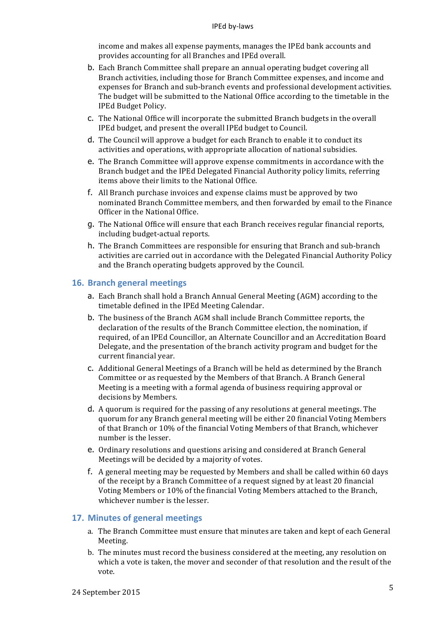#### IPEd by-laws

income and makes all expense payments, manages the IPEd bank accounts and provides accounting for all Branches and IPEd overall.

- b. Each Branch Committee shall prepare an annual operating budget covering all Branch activities, including those for Branch Committee expenses, and income and expenses for Branch and sub-branch events and professional development activities. The budget will be submitted to the National Office according to the timetable in the IPEd Budget Policy.
- c. The National Office will incorporate the submitted Branch budgets in the overall IPEd budget, and present the overall IPEd budget to Council.
- d. The Council will approve a budget for each Branch to enable it to conduct its activities and operations, with appropriate allocation of national subsidies.
- e. The Branch Committee will approve expense commitments in accordance with the Branch budget and the IPEd Delegated Financial Authority policy limits, referring items above their limits to the National Office.
- f. All Branch purchase invoices and expense claims must be approved by two nominated Branch Committee members, and then forwarded by email to the Finance Officer in the National Office.
- g. The National Office will ensure that each Branch receives regular financial reports, including budget-actual reports.
- h. The Branch Committees are responsible for ensuring that Branch and sub-branch activities are carried out in accordance with the Delegated Financial Authority Policy and the Branch operating budgets approved by the Council.

#### **16. Branch general meetings**

- a. Each Branch shall hold a Branch Annual General Meeting (AGM) according to the timetable defined in the IPEd Meeting Calendar.
- b. The business of the Branch AGM shall include Branch Committee reports, the declaration of the results of the Branch Committee election, the nomination, if required, of an IPEd Councillor, an Alternate Councillor and an Accreditation Board Delegate, and the presentation of the branch activity program and budget for the current financial year.
- c. Additional General Meetings of a Branch will be held as determined by the Branch Committee or as requested by the Members of that Branch. A Branch General Meeting is a meeting with a formal agenda of business requiring approval or decisions by Members.
- d. A quorum is required for the passing of any resolutions at general meetings. The quorum for any Branch general meeting will be either 20 financial Voting Members of that Branch or 10% of the financial Voting Members of that Branch, whichever number is the lesser.
- e. Ordinary resolutions and questions arising and considered at Branch General Meetings will be decided by a majority of votes.
- f. A general meeting may be requested by Members and shall be called within 60 days of the receipt by a Branch Committee of a request signed by at least 20 financial Voting Members or 10% of the financial Voting Members attached to the Branch, whichever number is the lesser.

#### **17. Minutes of general meetings**

- a. The Branch Committee must ensure that minutes are taken and kept of each General Meeting.
- b. The minutes must record the business considered at the meeting, any resolution on which a vote is taken, the mover and seconder of that resolution and the result of the vote.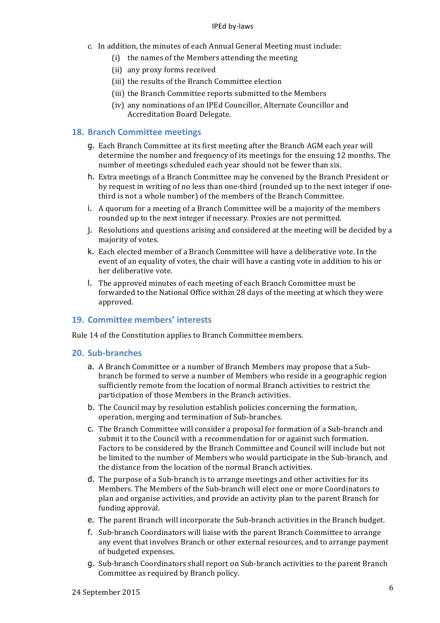#### IPEd by-laws

- c. In addition, the minutes of each Annual General Meeting must include:
	- $(i)$  the names of the Members attending the meeting
	- (ii) any proxy forms received
	- (iii) the results of the Branch Committee election
	- (iii) the Branch Committee reports submitted to the Members
	- (iv) any nominations of an IPEd Councillor, Alternate Councillor and Accreditation Board Delegate.

#### **18. Branch Committee meetings**

- g. Each Branch Committee at its first meeting after the Branch AGM each year will determine the number and frequency of its meetings for the ensuing 12 months. The number of meetings scheduled each year should not be fewer than six.
- h. Extra meetings of a Branch Committee may be convened by the Branch President or by request in writing of no less than one-third (rounded up to the next integer if onethird is not a whole number) of the members of the Branch Committee.
- i. A quorum for a meeting of a Branch Committee will be a majority of the members rounded up to the next integer if necessary. Proxies are not permitted.
- j. Resolutions and questions arising and considered at the meeting will be decided by a majority of votes.
- k. Each elected member of a Branch Committee will have a deliberative vote. In the event of an equality of votes, the chair will have a casting vote in addition to his or her deliberative vote.
- l. The approved minutes of each meeting of each Branch Committee must be forwarded to the National Office within 28 days of the meeting at which they were approved.

## **19. Committee members' interests**

Rule 14 of the Constitution applies to Branch Committee members.

#### **20. Sub-branches**

- a. A Branch Committee or a number of Branch Members may propose that a Subbranch be formed to serve a number of Members who reside in a geographic region sufficiently remote from the location of normal Branch activities to restrict the participation of those Members in the Branch activities.
- b. The Council may by resolution establish policies concerning the formation, operation, merging and termination of Sub-branches.
- c. The Branch Committee will consider a proposal for formation of a Sub-branch and submit it to the Council with a recommendation for or against such formation. Factors to be considered by the Branch Committee and Council will include but not be limited to the number of Members who would participate in the Sub-branch, and the distance from the location of the normal Branch activities.
- d. The purpose of a Sub-branch is to arrange meetings and other activities for its Members. The Members of the Sub-branch will elect one or more Coordinators to plan and organise activities, and provide an activity plan to the parent Branch for funding approval.
- e. The parent Branch will incorporate the Sub-branch activities in the Branch budget.
- f. Sub-branch Coordinators will liaise with the parent Branch Committee to arrange any event that involves Branch or other external resources, and to arrange payment of budgeted expenses.
- g. Sub-branch Coordinators shall report on Sub-branch activities to the parent Branch Committee as required by Branch policy.